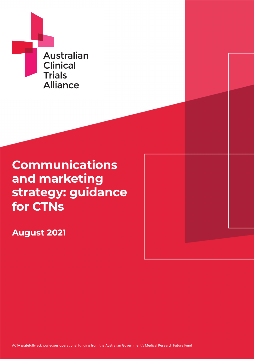

# **Communications and marketing strategy: guidance for CTNs**

**August 2021**

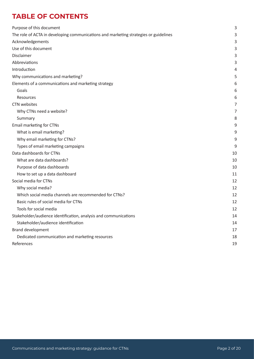# **TABLE OF CONTENTS**

| Purpose of this document                                                             | 3  |
|--------------------------------------------------------------------------------------|----|
| The role of ACTA in developing communications and marketing strategies or guidelines | 3  |
| Acknowledgements                                                                     | 3  |
| Use of this document                                                                 | 3  |
| Disclaimer                                                                           | 3  |
| Abbreviations                                                                        | 3  |
| Introduction                                                                         | 4  |
| Why communications and marketing?                                                    | 5  |
| Elements of a communications and marketing strategy                                  | 6  |
| Goals                                                                                | 6  |
| Resources                                                                            | 6  |
| CTN websites                                                                         | 7  |
| Why CTNs need a website?                                                             | 7  |
| Summary                                                                              | 8  |
| Email marketing for CTNs                                                             | 9  |
| What is email marketing?                                                             | 9  |
| Why email marketing for CTNs?                                                        | 9  |
| Types of email marketing campaigns                                                   | 9  |
| Data dashboards for CTNs                                                             | 10 |
| What are data dashboards?                                                            | 10 |
| Purpose of data dashboards                                                           | 10 |
| How to set up a data dashboard                                                       | 11 |
| Social media for CTNs                                                                | 12 |
| Why social media?                                                                    | 12 |
| Which social media channels are recommended for CTNs?                                | 12 |
| Basic rules of social media for CTNs                                                 | 12 |
| Tools for social media                                                               | 12 |
| Stakeholder/audience identification, analysis and communications                     | 14 |
| Stakeholder/audience identification                                                  | 14 |
| <b>Brand development</b>                                                             | 17 |
| Dedicated communication and marketing resources                                      | 18 |
| References                                                                           | 19 |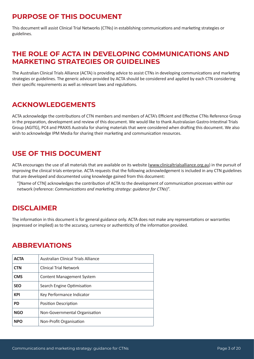# <span id="page-2-0"></span>**PURPOSE OF THIS DOCUMENT**

This document will assist Clinical Trial Networks (CTNs) in establishing communications and marketing strategies or guidelines.

# **THE ROLE OF ACTA IN DEVELOPING COMMUNICATIONS AND MARKETING STRATEGIES OR GUIDELINES**

The Australian Clinical Trials Alliance (ACTA) is providing advice to assist CTNs in developing communications and marketing strategies or guidelines. The generic advice provided by ACTA should be considered and applied by each CTN considering their specific requirements as well as relevant laws and regulations.

# **ACKNOWLEDGEMENTS**

ACTA acknowledge the contributions of CTN members and members of ACTA's Efficient and Effective CTNs Reference Group in the preparation, development and review of this document. We would like to thank Australasian Gastro-Intestinal Trials Group (AGITG), PC4 and PRAXIS Australia for sharing materials that were considered when drafting this document. We also wish to acknowledge IPM Media for sharing their marketing and communication resources.

# **USE OF THIS DOCUMENT**

ACTA encourages the use of all materials that are available on its website (www.clinicaltrialsalliance.org.au) in the pursuit of improving the clinical trials enterprise. ACTA requests that the following acknowledgement is included in any CTN guidelines that are developed and documented using knowledge gained from this document:

"[Name of CTN] acknowledges the contribution of ACTA to the development of communication processes within our network (reference: *Communications and marketing strategy: guidance for CTNs*)".

# **DISCLAIMER**

The information in this document is for general guidance only. ACTA does not make any representations or warranties (expressed or implied) as to the accuracy, currency or authenticity of the information provided.

# **ABBREVIATIONS**

| <b>ACTA</b> | Australian Clinical Trials Alliance |  |
|-------------|-------------------------------------|--|
| <b>CTN</b>  | <b>Clinical Trial Network</b>       |  |
| <b>CMS</b>  | <b>Content Management System</b>    |  |
| <b>SEO</b>  | Search Engine Optimisation          |  |
| <b>KPI</b>  | Key Performance Indicator           |  |
| <b>PD</b>   | <b>Position Description</b>         |  |
| <b>NGO</b>  | Non-Governmental Organisation       |  |
| <b>NPO</b>  | Non-Profit Organisation             |  |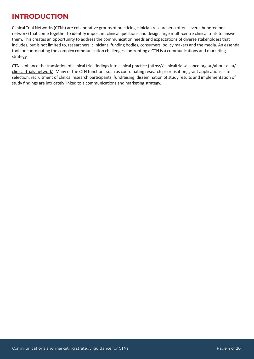# <span id="page-3-0"></span>**INTRODUCTION**

Clinical Trial Networks (CTNs) are collaborative groups of practicing clinician researchers (often several hundred per network) that come together to identify important clinical questions and design large multi-centre clinical trials to answer them. This creates an opportunity to address the communication needs and expectations of diverse stakeholders that includes, but is not limited to, researchers, clinicians, funding bodies, consumers, policy makers and the media. An essential tool for coordinating the complex communication challenges confronting a CTN is a communications and marketing strategy.

CTNs enhance the translation of clinical trial findings into clinical practice (https://clinicaltrialsalliance.org.au/about-acta/ clinical-trials-network). Many of the CTN functions such as coordinating research prioritisation, grant applications, site selection, recruitment of clinical research participants, fundraising, dissemination of study results and implementation of study findings are intricately linked to a communications and marketing strategy.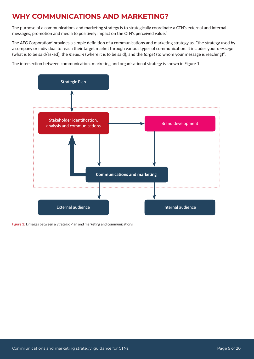# <span id="page-4-0"></span>**WHY COMMUNICATIONS AND MARKETING?**

The purpose of a communications and marketing strategy is to strategically coordinate a CTN's external and internal messages, promotion and media to positively impact on the CTN's perceived value.<sup>1</sup>

The AEG Corporation<sup>2</sup> provides a simple definition of a communications and marketing strategy as, "the strategy used by a company or individual to reach their target market through various types of communication. It includes your *message* (what is to be said/asked), the *medium* (where it is to be said), and the *target* (to whom your message is reaching)".

The intersection between communication, marketing and organisational strategy is shown in Figure 1.



**Figure 1:** Linkages between a Strategic Plan and marketing and communications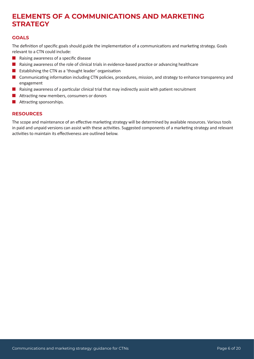# <span id="page-5-0"></span>**ELEMENTS OF A COMMUNICATIONS AND MARKETING STRATEGY**

### **GOALS**

The definition of specific goals should guide the implementation of a communications and marketing strategy. Goals relevant to a CTN could include:

- $\blacksquare$  Raising awareness of a specific disease
- n Raising awareness of the role of clinical trials in evidence-based practice or advancing healthcare
- Establishing the CTN as a 'thought leader' organisation
- **n** Communicating information including CTN policies, procedures, mission, and strategy to enhance transparency and engagement
- $\blacksquare$  Raising awareness of a particular clinical trial that may indirectly assist with patient recruitment
- $\blacksquare$  Attracting new members, consumers or donors
- $\blacksquare$  Attracting sponsorships.

### **RESOURCES**

The scope and maintenance of an effective marketing strategy will be determined by available resources. Various tools in paid and unpaid versions can assist with these activities. Suggested components of a marketing strategy and relevant activities to maintain its effectiveness are outlined below.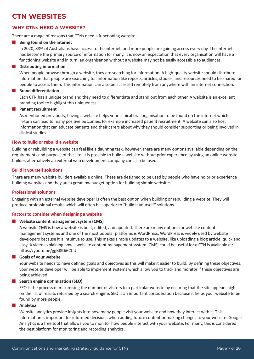# <span id="page-6-0"></span>**CTN WEBSITES**

# **WHY CTNs NEED A WEBSITE?**

There are a range of reasons that CTNs need a functioning website:

### **n** Being found on the internet

In 2020, 88% of Australians have access to the internet, and more people are gaining access every day. The internet has become the primary source of information for many. It is now an expectation that every organisation will have a functioning website and in turn, an organisation without a website may not be easily accessible to audiences.

### **n** Distributing information

When people browse through a website, they are searching for information. A high-quality website should distribute information that people are searching for. Information like reports, articles, studies, and resources need to be shared for people to access them. This information can also be accessed remotely from anywhere with an internet connection.

# **n** Brand differentiation

Each CTN has a unique brand and they need to differentiate and stand out from each other. A website is an excellent branding tool to highlight this uniqueness.

### **n** Patient recruitment

As mentioned previously, having a website helps your clinical trial organisation to be found on the internet which in-turn can lead to many positive outcomes, for example increased patient recruitment. A website can also host information that can educate patients and their carers about why they should consider supporting or being involved in clinical studies.

# **How to build or rebuild a website**

Building or rebuilding a website can feel like a daunting task, however, there are many options available depending on the requirements and purpose of the site. It is possible to build a website without prior experience by using an online website builder, alternatively an external web development company can also be used.

# **Build it yourself solutions**

There are many website builders available online. These are designed to be used by people who have no prior experience building websites and they are a great low budget option for building simple websites.

# **Professional solutions**

Engaging with an external website developer is often the best option when building or rebuilding a website. They will produce professional results which will often be superior to "build it yourself" solutions.

# **Factors to consider when designing a website**

# **Website content management system (CMS)**

A website CMS is how a website is built, edited, and updated. There are many options for website content management systems and one of the most popular platforms is WordPress. WordPress is widely used by website developers because it is intuitive to use. This makes simple updates to a website, like uploading a blog article, quick and easy. A video explaining how a website content management system (CMS) could be useful for a CTN is available at: https://youtu.be/ggBI8Di6CCU

# **n** Goals of your website

Your website needs to have defined goals and objectives as this will make it easier to build. By defining these objectives, your website developer will be able to implement systems which allow you to track and monitor if these objectives are being achieved.

# **n** Search engine optimisation (SEO)

SEO is the process of maximising the number of visitors to a particular website by ensuring that the site appears high on the list of results returned by a search engine. SEO is an important consideration because it helps your website to be found by more people.

# **n** Analytics

Website analytics provide insights into how many people visit your website and how they interact with it. This information is important for informed decisions when adding future content or making changes to your website. Google Analytics is a free tool that allows you to monitor how people interact with your website. For many, this is considered the best platform for monitoring and recording analytics.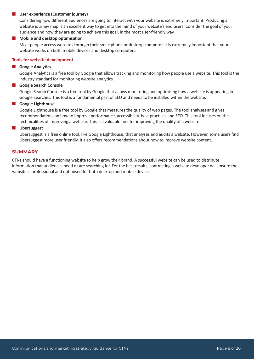#### <span id="page-7-0"></span>**n** User experience (Customer journey)

Considering how different audiences are going to interact with your website is extremely important. Producing a website journey map is an excellent way to get into the mind of your website's end users. Consider the goal of your audience and how they are going to achieve this goal, in the most user-friendly way.

#### **n** Mobile and desktop optimisation

Most people access websites through their smartphone or desktop computer. It is extremely important that your website works on both mobile devices and desktop computers.

#### **Tools for website development**

#### **n** Google Analytics

Google Analytics is a free tool by Google that allows tracking and monitoring how people use a website. This tool is the industry standard for monitoring website analytics.

#### **n** Google Search Console

Google Search Console is a free tool by Google that allows monitoring and optimising how a website is appearing in Google Searches. This tool is a fundamental part of SEO and needs to be installed within the website.

#### **n** Google Lighthouse

Google Lighthouse is a free tool by Google that measures the quality of web pages. The tool analyses and gives recommendations on how to improve performance, accessibility, best practices and SEO. This tool focuses on the technicalities of improving a website. This is a valuable tool for improving the quality of a website.

#### **n** Ubersuggest

Ubersuggest is a free online tool, like Google Lighthouse, that analyses and audits a website. However, some users find Ubersuggest more user friendly. It also offers recommendations about how to improve website content.

#### **SUMMARY**

CTNs should have a functioning website to help grow their brand. A successful website can be used to distribute information that audiences need or are searching for. For the best results, contracting a website developer will ensure the website is professional and optimised for both desktop and mobile devices.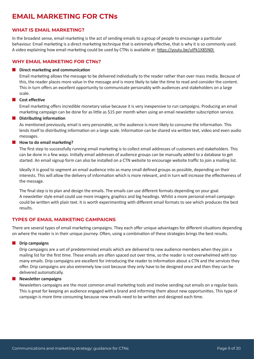# <span id="page-8-0"></span>**EMAIL MARKETING FOR CTNs**

### **WHAT IS EMAIL MARKETING?**

In the broadest sense, email marketing is the act of sending emails to a group of people to encourage a particular behaviour. Email marketing is a direct marketing technique that is extremely effective, that is why it is so commonly used. A video explaining how email marketing could be used by CTNs is available at: https://youtu.be/uIPk1X85N0I

### **WHY EMAIL MARKETING FOR CTNs?**

#### **n** Direct marketing and communication

Email marketing allows the message to be delivered individually to the reader rather than over mass media. Because of this, the reader places more value in the message and is more likely to take the time to read and consider the content. This in turn offers an excellent opportunity to communicate personably with audiences and stakeholders on a large scale.

#### **n** Cost effective

Email marketing offers incredible monetary value because it is very inexpensive to run campaigns. Producing an email marketing campaign can be done for as little as \$15 per month when using an email newsletter subscription service.

#### **Distributing information**

As mentioned previously, email is very personable, so the audience is more likely to consume the information. This lends itself to distributing information on a large scale. Information can be shared via written text, video and even audio messages.

#### **How to do email marketing?**

The first step to successfully running email marketing is to collect email addresses of customers and stakeholders. This can be done in a few ways. Initially email addresses of audience groups can be manually added to a database to get started. An email signup form can also be installed on a CTN website to encourage website traffic to join a mailing list.

Ideally it is good to segment an email audience into as many small defined groups as possible, depending on their interests. This will allow the delivery of information which is more relevant, and in turn will increase the effectiveness of the message.

The final step is to plan and design the emails. The emails can use different formats depending on your goal. A newsletter style email could use more imagery, graphics and big headings. Whilst a more personal email campaign could be written with plain text. It is worth experimenting with different email formats to see which produces the best results.

### **TYPES OF EMAIL MARKETING CAMPAIGNS**

There are several types of email marketing campaigns. They each offer unique advantages for different situations depending on where the reader is in their unique journey. Often, using a combination of these strategies brings the best results.

#### **n** Drip campaigns

Drip campaigns are a set of predetermined emails which are delivered to new audience members when they join a mailing list for the first time. These emails are often spaced out over time, so the reader is not overwhelmed with too many emails. Drip campaigns are excellent for introducing the reader to information about a CTN and the services they offer. Drip campaigns are also extremely low cost because they only have to be designed once and then they can be delivered automatically.

#### n **Newsletter campaigns**

Newsletters campaigns are the most common email marketing tools and involve sending out emails on a regular basis. This is great for keeping an audience engaged with a brand and informing them about new opportunities. This type of campaign is more time consuming because new emails need to be written and designed each time.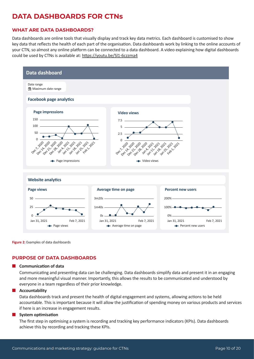# <span id="page-9-0"></span>**DATA DASHBOARDS FOR CTNs**

# **WHAT ARE DATA DASHBOARDS?**

Data dashboards are online tools that visually display and track key data metrics. Each dashboard is customised to show key data that reflects the health of each part of the organisation. Data dashboards work by linking to the online accounts of your CTN, so almost any online platform can be connected to a data dashboard. A video explaining how digital dashboards could be used by CTNs is available at: https://youtu.be/Sl1-6czzma4



**Figure 2:** Examples of data dashboards

# **PURPOSE OF DATA DASHBOARDS**

#### **n** Communication of data

Communicating and presenting data can be challenging. Data dashboards simplify data and present it in an engaging and more meaningful visual manner. Importantly, this allows the results to be communicated and understood by everyone in a team regardless of their prior knowledge.

#### **n** Accountability

Data dashboards track and present the health of digital engagement and systems, allowing actions to be held accountable. This is important because it will allow the justification of spending money on various products and services if here is an increase in engagement results.

#### **System optimisation**

The first step in optimising a system is recording and tracking key performance indicators (KPIs). Data dashboards achieve this by recording and tracking these KPIs.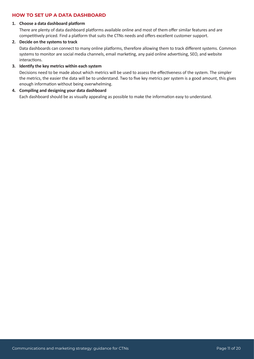### <span id="page-10-0"></span>**HOW TO SET UP A DATA DASHBOARD**

#### **1. Choose a data dashboard platform**

There are plenty of data dashboard platforms available online and most of them offer similar features and are competitively priced. Find a platform that suits the CTNs needs and offers excellent customer support.

#### **2. Decide on the systems to track**

Data dashboards can connect to many online platforms, therefore allowing them to track different systems. Common systems to monitor are social media channels, email marketing, any paid online advertising, SEO, and website interactions.

#### **3. Identify the key metrics within each system**

Decisions need to be made about which metrics will be used to assess the effectiveness of the system. The simpler the metrics, the easier the data will be to understand. Two to five key metrics per system is a good amount, this gives enough information without being overwhelming.

### **4. Compiling and designing your data dashboard**

Each dashboard should be as visually appealing as possible to make the information easy to understand.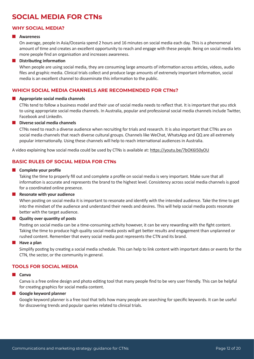# <span id="page-11-0"></span>**SOCIAL MEDIA FOR CTNs**

### **WHY SOCIAL MEDIA?**

#### **n** Awareness

On average, people in Asia/Oceania spend 2 hours and 16 minutes on social media each day. This is a phenomenal amount of time and creates an excellent opportunity to reach and engage with these people. Being on social media lets more people find an organisation and increases awareness.

#### **n** Distributing information

When people are using social media, they are consuming large amounts of information across articles, videos, audio files and graphic media. Clinical trials collect and produce large amounts of extremely important information, social media is an excellent channel to disseminate this information to the public.

### **WHICH SOCIAL MEDIA CHANNELS ARE RECOMMENDED FOR CTNs?**

#### **n** Appropriate social media channels

CTNs tend to follow a business model and their use of social media needs to reflect that. It is important that you stick to using appropriate social media channels. In Australia, popular and professional social media channels include Twitter, Facebook and LinkedIn.

#### **n** Diverse social media channels

CTNs need to reach a diverse audience when recruiting for trials and research. It is also important that CTNs are on social media channels that reach diverse cultural groups. Channels like WeChat, WhatsApp and QQ are all extremely popular internationally. Using these channels will help to reach international audiences in Australia.

A video explaining how social media could be used by CTNs is available at: https://youtu.be/7bOK6I50yOU

### **BASIC RULES OF SOCIAL MEDIA FOR CTNs**

#### **n** Complete your profile

Taking the time to properly fill out and complete a profile on social media is very important. Make sure that all information is accurate and represents the brand to the highest level. Consistency across social media channels is good for a coordinated online presence.

#### **n** Resonate with your audience

When posting on social media it is important to resonate and identify with the intended audience. Take the time to get into the mindset of the audience and understand their needs and desires. This will help social media posts resonate better with the target audience.

#### **n** Quality over quantity of posts

Posting on social media can be a time-consuming activity however, it can be very rewarding with the fight content. Taking the time to produce high quality social media posts will get better results and engagement than unplanned or rushed content. Remember that every social media post represents the CTN and its brand.

#### **Have a plan**

Simplify posting by creating a social media schedule. This can help to link content with important dates or events for the CTN, the sector, or the community in general.

### **TOOLS FOR SOCIAL MEDIA**

#### **n** Canva

Canva is a free online design and photo editing tool that many people find to be very user friendly. This can be helpful for creating graphics for social media content.

#### **n** Google keyword planner

Google keyword planner is a free tool that tells how many people are searching for specific keywords. It can be useful for discovering trends and popular queries related to clinical trials.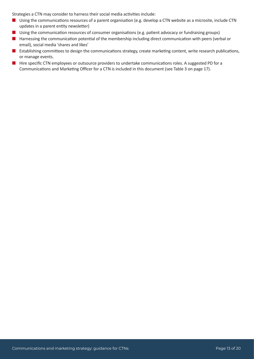Strategies a CTN may consider to harness their social media activities include:

- Using the communications resources of a parent organisation (e.g. develop a CTN website as a microsite, include CTN updates in a parent entity newsletter)
- **n** Using the communication resources of consumer organisations (e.g. patient advocacy or fundraising groups)
- **n** Harnessing the communication potential of the membership including direct communication with peers (verbal or email), social media 'shares and likes'
- E Establishing committees to design the communications strategy, create marketing content, write research publications, or manage events.
- Hire specific CTN employees or outsource providers to undertake communications roles. A suggested PD for a Communications and Marketing Officer for a CTN is included in this document (see Table 3 on page 17).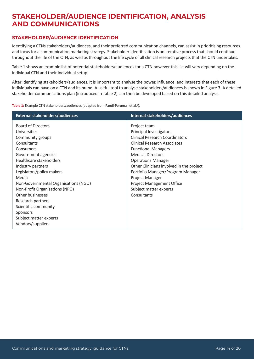# <span id="page-13-0"></span>**STAKEHOLDER/AUDIENCE IDENTIFICATION, ANALYSIS AND COMMUNICATIONS**

### **STAKEHOLDER/AUDIENCE IDENTIFICATION**

Identifying a CTNs stakeholders/audiences, and their preferred communication channels, can assist in prioritising resources and focus for a communication marketing strategy. Stakeholder identification is an iterative process that should continue throughout the life of the CTN, as well as throughout the life cycle of all clinical research projects that the CTN undertakes.

Table 1 shows an example list of potential stakeholders/audiences for a CTN however this list will vary depending on the individual CTN and their individual setup.

After identifying stakeholders/audiences, it is important to analyse the power, influence, and interests that each of these individuals can have on a CTN and its brand. A useful tool to analyse stakeholders/audiences is shown in Figure 3. A detailed stakeholder communications plan (introduced in Table 2) can then be developed based on this detailed analysis.

**Table 1:** Example CTN stakeholders/audiences (adapted from Pandi-Perumal, et al.<sup>3</sup>).

| <b>Board of Directors</b><br>Project team<br>Principal Investigators<br>Universities<br><b>Clinical Research Coordinators</b><br>Community groups<br><b>Clinical Research Associates</b><br>Consultants<br><b>Functional Managers</b><br>Consumers                                                                                                                                                                                                                                                                                                               | Internal stakeholders/audiences |
|------------------------------------------------------------------------------------------------------------------------------------------------------------------------------------------------------------------------------------------------------------------------------------------------------------------------------------------------------------------------------------------------------------------------------------------------------------------------------------------------------------------------------------------------------------------|---------------------------------|
| <b>Medical Directors</b><br>Government agencies<br>Healthcare stakeholders<br><b>Operations Manager</b><br>Other Clinicians involved in the project<br>Industry partners<br>Legislators/policy makers<br>Portfolio Manager/Program Manager<br>Media<br>Project Manager<br>Non-Governmental Organisations (NGO)<br><b>Project Management Office</b><br>Non-Profit Organisations (NPO)<br>Subject matter experts<br>Other businesses<br>Consultants<br>Research partners<br>Scientific community<br><b>Sponsors</b><br>Subject matter experts<br>Vendors/suppliers |                                 |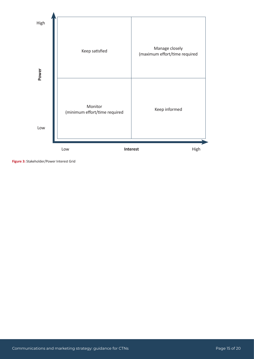

**Figure 3:** Stakeholder/Power Interest Grid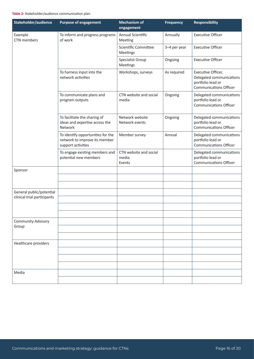#### **Table 2:** Stakeholder/audience communication plan

| Stakeholder/audience        | <b>Purpose of engagement</b>                                                             | <b>Mechanism of</b><br>engagement         | <b>Frequency</b> | <b>Responsibility</b>                                                                                |
|-----------------------------|------------------------------------------------------------------------------------------|-------------------------------------------|------------------|------------------------------------------------------------------------------------------------------|
| Example<br>CTN members      | To inform and progress programs<br>of work                                               | Annual Scientific<br>Meeting              | Annually         | <b>Executive Officer</b>                                                                             |
|                             |                                                                                          | Scientific Committee<br>Meetings          | 3-4 per year     | <b>Executive Officer</b>                                                                             |
|                             |                                                                                          | Specialist Group<br>Meetings              | Ongoing          | <b>Executive Officer</b>                                                                             |
|                             | To harness input into the<br>network activities                                          | Workshops, surveys                        | As required      | Executive Officer,<br>Delegated communications<br>portfolio lead or<br><b>Communications Officer</b> |
|                             | To communicate plans and<br>program outputs                                              | CTN website and social<br>media           | Ongoing          | Delegated communications<br>portfolio lead or<br><b>Communications Officer</b>                       |
|                             | To facilitate the sharing of<br>ideas and expertise across the<br>Network                | Network website<br>Network events         | Ongoing          | Delegated communications<br>portfolio lead or<br><b>Communications Officer</b>                       |
|                             | To identify opportunities for the<br>network to improve its member<br>support activities | Member survey                             | Annual           | Delegated communications<br>portfolio lead or<br><b>Communications Officer</b>                       |
|                             | To engage existing members and<br>potential new members                                  | CTN website and social<br>media<br>Events |                  | Delegated communications<br>portfolio lead or<br><b>Communications Officer</b>                       |
| Sponsor                     |                                                                                          |                                           |                  |                                                                                                      |
|                             |                                                                                          |                                           |                  |                                                                                                      |
| General public/potential    |                                                                                          |                                           |                  |                                                                                                      |
| clinical trial participants |                                                                                          |                                           |                  |                                                                                                      |
|                             |                                                                                          |                                           |                  |                                                                                                      |
| <b>Community Advisory</b>   |                                                                                          |                                           |                  |                                                                                                      |
| Group                       |                                                                                          |                                           |                  |                                                                                                      |
|                             |                                                                                          |                                           |                  |                                                                                                      |
| Healthcare providers        |                                                                                          |                                           |                  |                                                                                                      |
|                             |                                                                                          |                                           |                  |                                                                                                      |
|                             |                                                                                          |                                           |                  |                                                                                                      |
| Media                       |                                                                                          |                                           |                  |                                                                                                      |
|                             |                                                                                          |                                           |                  |                                                                                                      |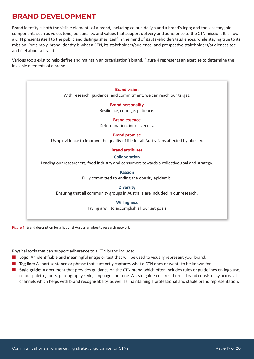# <span id="page-16-0"></span>**BRAND DEVELOPMENT**

Brand identity is both the visible elements of a brand, including colour, design and a brand's logo; and the less tangible components such as voice, tone, personality, and values that support delivery and adherence to the CTN mission. It is how a CTN presents itself to the public and distinguishes itself in the mind of its stakeholders/audiences, while staying true to its mission. Put simply, brand identity is what a CTN, its stakeholders/audience, and prospective stakeholders/audiences see and feel about a brand.

Various tools exist to help define and maintain an organisation's brand. Figure 4 represents an exercise to determine the invisible elements of a brand.

**Brand vision**  With research, guidance, and commitment; we can reach our target. **Brand personality** Resilience, courage, patience. **Brand essence** Determination, inclusiveness. **Brand promise** Using evidence to improve the quality of life for all Australians affected by obesity. **Brand attributes Collaboration** Leading our researchers, food industry and consumers towards a collective goal and strategy. **Passion** Fully committed to ending the obesity epidemic. **Diversity** Ensuring that all community groups in Australia are included in our research. **Willingness** Having a will to accomplish all our set goals.

Figure 4: Brand description for a fictional Australian obesity research network

Physical tools that can support adherence to a CTN brand include:

- **n Logo:** An identifiable and meaningful image or text that will be used to visually represent your brand.
- **n Tag line:** A short sentence or phrase that succinctly captures what a CTN does or wants to be known for.
- **n** Style guide: A document that provides guidance on the CTN brand which often includes rules or guidelines on logo use, colour palette, fonts, photography style, language and tone. A style guide ensures there is brand consistency across all channels which helps with brand recognisability, as well as maintaining a professional and stable brand representation.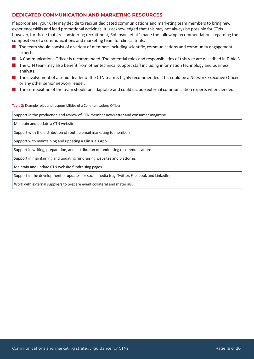### <span id="page-17-0"></span>**DEDICATED COMMUNICATION AND MARKETING RESOURCES**

If appropriate, your CTN may decide to recruit dedicated communications and marketing team members to bring new experience/skills and lead promotional activities. It is acknowledged that this may not always be possible for CTNs however, for those that are considering recruitment, Robinson, et al.<sup>4</sup> made the following recommendations regarding the composition of a communications and marketing team for clinical trials:

- $\blacksquare$  The team should consist of a variety of members including scientific, communications and community engagement experts.
- A Communications Officer is recommended. The potential roles and responsibilities of this role are described in Table 3.
- $\blacksquare$  The CTN team may also benefit from other technical support staff including information technology and business analysts.
- $\blacksquare$  The involvement of a senior leader of the CTN team is highly recommended. This could be a Network Executive Officer or any other senior network leader.
- The composition of the team should be adaptable and could include external communication experts when needed.

#### **Table 3:** Example roles and responsibilities of a Communications Officer

| Support in the production and review of CTN member newsletter and consumer magazine          |
|----------------------------------------------------------------------------------------------|
| Maintain and update a CTN website                                                            |
| Support with the distribution of routine email marketing to members                          |
| Support with maintaining and updating a ClinTrials App                                       |
| Support in writing, preparation, and distribution of fundraising e-communications            |
| Support in maintaining and updating fundraising websites and platforms                       |
| Maintain and update CTN website fundraising pages                                            |
| Support in the development of updates for social media (e.g. Twitter, Facebook and LinkedIn) |
| Work with external suppliers to prepare event collateral and materials.                      |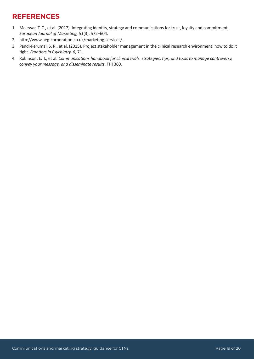# <span id="page-18-0"></span>**REFERENCES**

- 1. Melewar, T. C., et al. (2017). Integrating identity, strategy and communications for trust, loyalty and commitment. *European Journal of Marketing, 51*(3), 572–604.
- 2. http://www.aeg-corporation.co.uk/marketing-services/
- 3. Pandi-Perumal, S. R., et al. (2015). Project stakeholder management in the clinical research environment: how to do it right. *Frontiers in Psychiatry, 6*, 71.
- 4. Robinson, E. T., et al. *Communications handbook for clinical trials: strategies, tips, and tools to manage controversy, convey your message, and disseminate results*. FHI 360.